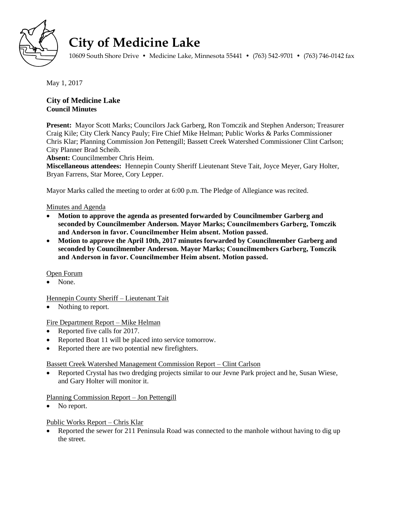

# **City of Medicine Lake**

10609 South Shore Drive • Medicine Lake, Minnesota 55441 • (763) 542-9701 • (763) 746-0142 fax

May 1, 2017

# **City of Medicine Lake Council Minutes**

**Present:** Mayor Scott Marks; Councilors Jack Garberg, Ron Tomczik and Stephen Anderson; Treasurer Craig Kile; City Clerk Nancy Pauly; Fire Chief Mike Helman; Public Works & Parks Commissioner Chris Klar; Planning Commission Jon Pettengill; Bassett Creek Watershed Commissioner Clint Carlson; City Planner Brad Scheib.

**Absent:** Councilmember Chris Heim.

**Miscellaneous attendees:** Hennepin County Sheriff Lieutenant Steve Tait, Joyce Meyer, Gary Holter, Bryan Farrens, Star Moree, Cory Lepper.

Mayor Marks called the meeting to order at 6:00 p.m. The Pledge of Allegiance was recited.

## Minutes and Agenda

- **Motion to approve the agenda as presented forwarded by Councilmember Garberg and seconded by Councilmember Anderson. Mayor Marks; Councilmembers Garberg, Tomczik and Anderson in favor. Councilmember Heim absent. Motion passed.**
- **Motion to approve the April 10th, 2017 minutes forwarded by Councilmember Garberg and seconded by Councilmember Anderson. Mayor Marks; Councilmembers Garberg, Tomczik and Anderson in favor. Councilmember Heim absent. Motion passed.**

## Open Forum

• None

Hennepin County Sheriff – Lieutenant Tait

• Nothing to report.

# Fire Department Report – Mike Helman

- Reported five calls for 2017.
- Reported Boat 11 will be placed into service tomorrow.
- Reported there are two potential new firefighters.

## Bassett Creek Watershed Management Commission Report – Clint Carlson

 Reported Crystal has two dredging projects similar to our Jevne Park project and he, Susan Wiese, and Gary Holter will monitor it.

## Planning Commission Report – Jon Pettengill

• No report.

# Public Works Report – Chris Klar

 Reported the sewer for 211 Peninsula Road was connected to the manhole without having to dig up the street.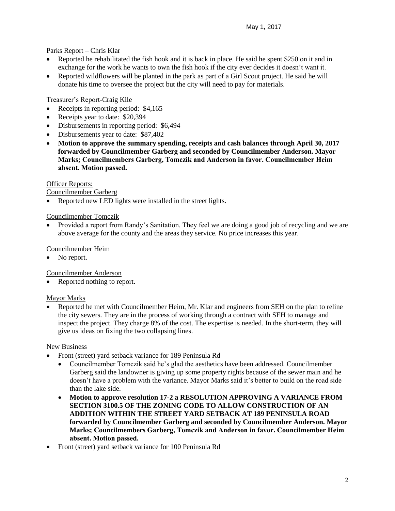## Parks Report – Chris Klar

- Reported he rehabilitated the fish hook and it is back in place. He said he spent \$250 on it and in exchange for the work he wants to own the fish hook if the city ever decides it doesn't want it.
- Reported wildflowers will be planted in the park as part of a Girl Scout project. He said he will donate his time to oversee the project but the city will need to pay for materials.

## Treasurer's Report-Craig Kile

- Receipts in reporting period: \$4,165
- Receipts year to date: \$20,394
- Disbursements in reporting period: \$6,494
- Disbursements year to date: \$87,402
- **Motion to approve the summary spending, receipts and cash balances through April 30, 2017 forwarded by Councilmember Garberg and seconded by Councilmember Anderson. Mayor Marks; Councilmembers Garberg, Tomczik and Anderson in favor. Councilmember Heim absent. Motion passed.**

## Officer Reports:

## Councilmember Garberg

• Reported new LED lights were installed in the street lights.

## Councilmember Tomczik

 Provided a report from Randy's Sanitation. They feel we are doing a good job of recycling and we are above average for the county and the areas they service. No price increases this year.

## Councilmember Heim

No report.

Councilmember Anderson

Reported nothing to report.

## Mayor Marks

 Reported he met with Councilmember Heim, Mr. Klar and engineers from SEH on the plan to reline the city sewers. They are in the process of working through a contract with SEH to manage and inspect the project. They charge 8% of the cost. The expertise is needed. In the short-term, they will give us ideas on fixing the two collapsing lines.

## New Business

- Front (street) yard setback variance for 189 Peninsula Rd
	- Councilmember Tomczik said he's glad the aesthetics have been addressed. Councilmember Garberg said the landowner is giving up some property rights because of the sewer main and he doesn't have a problem with the variance. Mayor Marks said it's better to build on the road side than the lake side.
	- **Motion to approve resolution 17-2 a RESOLUTION APPROVING A VARIANCE FROM SECTION 3100.5 OF THE ZONING CODE TO ALLOW CONSTRUCTION OF AN ADDITION WITHIN THE STREET YARD SETBACK AT 189 PENINSULA ROAD forwarded by Councilmember Garberg and seconded by Councilmember Anderson. Mayor Marks; Councilmembers Garberg, Tomczik and Anderson in favor. Councilmember Heim absent. Motion passed.**
- Front (street) yard setback variance for 100 Peninsula Rd